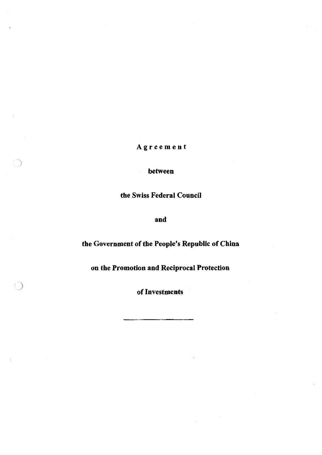Agreement

between

ġ

)

the Swiss Federal Council

and

# the Government of the People's Republic of China

on the Promotion and Reciprocal Protection

of Investments )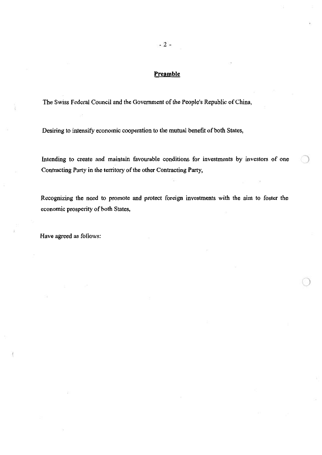## **Preamble**

The Swiss Federal Council and the Government of the People's Republic of China,

Desiring to intensify economic cooperation to the mutual benefit of both States,

Intending to create and maintain favourable conditions for investments by investors of one Contracting Party in the territory of the other Contracting Party,

Recognizing the need to promote and protect foreign investments with the aim to foster the economic prosperity of both States,

)

Have agreed as follows: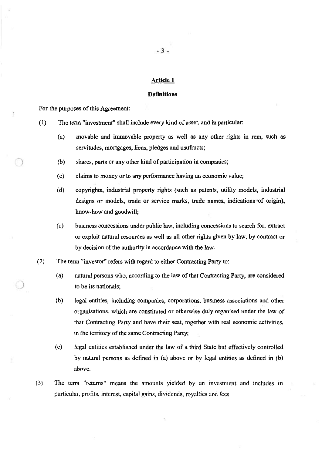#### **Definitions**

For the purposes of this Agreement:

)

- ( 1) The term "investment" shall include every kind of asset, and in particular:
	- (a) movable and immovable property as well as any other rights in rem, such as servitudes, mortgages, liens, pledges and usufructs;
	- (b) shares, parts or any other kind of participation in companies;
	- ( c) claims to money or to any performance having an economic value;
	- (d) copyrights, industrial property rights (such as patents, utility models, industrial designs or models, trade or service marks, trade names, indications of origin), know-how and goodwill;
	- (e) business concessions under public law, including concessions to search for, extract or exploit natural resources as well as all other rights given by law, by contract or by decision of the authority in accordance with the law.
- (2) The term "investor" refers with regard to either Contracting Party to:
	- (a) natural persons who, according to the law of that Contracting Party, are considered to be its nationals;
	- (b) legal entities, including companies, corporations, business associations and other organisations, which are constituted or otherwise duly organised under the law of that Contracting Party and have their seat, together with real economic activities, in the territory of the same Contracting Party;
	- by natural persons as defined in (a) above or by legal entities as defined in (h) above. ( c) legal entities established under the law of a third State but effectively controlled
- (3) The term "returns" means the amounts yielded by an investment and includes in particular, profits, interest, capital gains, dividends, royalties and fees.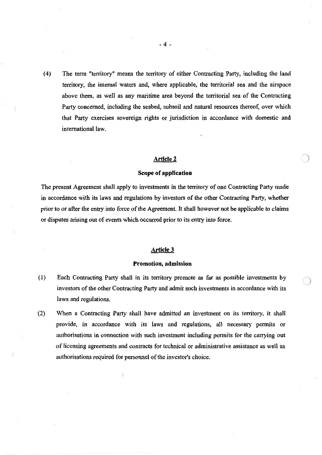(4) The tenn "territory" means the territory of either Contracting Party, including the land territory, the internal waters and, where applicable, the territorial sea and the airspace above them, as well as any maritime area beyond the territorial sea of the Contracting Party concerned, including the seabed, subsoil and natural resources thereof, over which that Party exercises sovereign rights or jurisdiction in accordance with domestic and international law.

## **Article 2**

#### **Scope of application**

The present Agreement shall apply to investments in the territory of one Contracting Party made in accordance with its laws and regulations by investors of the other Contracting Party, whether prior to or after the entry into force of the Agreement. It shall however not be applicable to claims or disputes arising out of events which occurred prior to its entry into force.

## **Article 3**

#### **Promotion, admission**

- ·) (1) Each Contracting Party shall in its territory promote as far as possible investments by investors of the other Contracting Party and admit such investments in accordance with its laws and regulations.
- provide, in accordance with its laws and regulations, all necessary permits or authorisations in connection with such investment including permits for the carrying out of licensing agreements and contracts for technical or administrative assistance as well as authorisations required for personnel of the investor's choice. (2) When a Contracting Party shall have admitted an investment on its territory, it shall

Ĵ,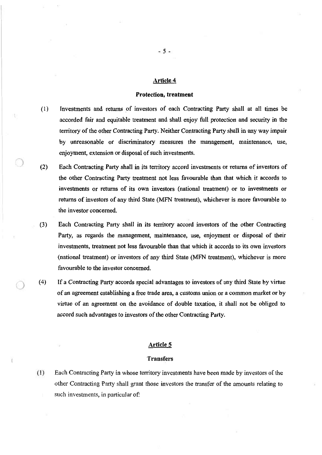#### Protection, treatment

- ( l) Investments and returns of investors of each Contracting Party shall at all times be accorded fair and equitable treatment and shall enjoy full protection and security in the territory of the other Contracting Party. Neither Contracting Party shall in any way impair by unreasonable or discriminatory measures the management, maintenance, use, enjoyment, extension or disposal of such investments.
- the other Contracting Party treatment not less favourable than that which it accords to investments or returns of its own investors (national treatment) or to investments or returns of investors of any third State (MFN treatment), whichever is more favourable to the investor concerned. (2) Each Contracting Party shall in its territory accord investments or returns of investors of
- (3) Each Contracting Party shall in its territory accord investors of the other Contracting Party, as regards the management, maintenance, use, enjoyment or disposal of their investments, treatment not less favourable than that which it accords to its own investors (national treatment) or investors of any third State (MFN treatment), whichever is more favourable to the investor concerned.
- If a Contracting Party accords special advantages to investors of any third State by virtue of an agreement establishing a free trade area, a customs union or a common market or by virtue of an agreement on the avoidance of double taxation, it shall not be obliged to accord such advantages to investors of the other Contracting Party.  $(4)$

## Article 5

#### Transfers

( 1) Each Contracting Party in whose territory investments have been made by investors of the other Contracting Party shall grant those investors the transfer of the amounts relating to such investments, in particular of: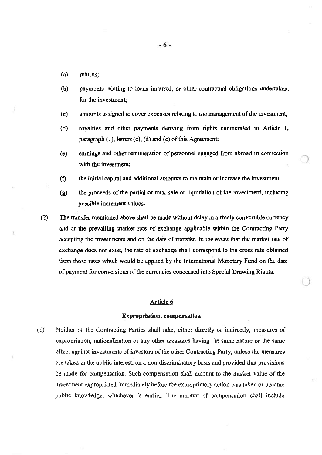- (a) returns;
- (b) payments relating to loans incurred, or other contractual obligations undertaken, for the investment;
- (c) amounts assigned to cover expenses relating to the management of the investment;
- ( d) royalties and other payments deriving from rights enumerated in Article 1, paragraph (1), letters (c), (d) and (e) of this Agreement;
- ( e) earnings and other remuneration of personnel engaged from abroad in connection with the investment;
- (f) the initial capital and additional amounts to maintain or increase the investment;
- (g) the proceeds of the partial or total sale or liquidation 'of the investment, including possible increment values.

 $\bigcap$ 

(2) The transfer mentioned above shall be made without delay in a freely convertible currency and at the prevailing market rate of exchange applicable within the Contracting Party accepting the investments and on the date of transfer. In the event that the market rate of exchange does not exist, the rate of exchange shall correspond to the cross rate obtained from those rates which would be applied by the International Monetary Fund on the date of payment for conversions of the currencies concerned into Special Drawing Rights.

## Article 6

#### Expropriation, compensation

( I) Neither of the Contracting Parties shall take, either directly or indirectly, measures of expropriation, nationalization or any other measures having the same nature or the same effect against investments of investors of the other Contracting Party, unless the measures are taken in the public interest, on a non-discriminatory basis and provided that provisions be made for compensation. Such compensation shall amount to the market value of the investment expropriated immediately before the expropriatory action was taken or became public knowledge, whichever is earlier. The amount of compensation shall include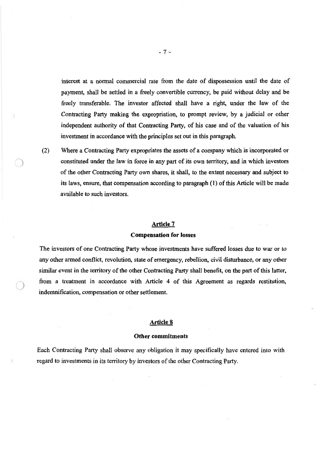interest at a normal commercial rate from the date of dispossession until the date of payment, shall be settled in a freely convertible currency, be paid without delay and be freely transferable. The investor affected shall have a right, under the law of the Contracting Party making the expropriation, to prompt review, by a judicial or other independent authority of that Contracting Party, of his case and of the valuation of his investment in accordance with the principles set out in this paragraph.

Where a Contracting Party expropriates the assets of a company which is incorporated or constituted under the law in force in any part of its own territory, and in which investors of the other Contracting Party own shares, it shall, to the extent necessary and subject to its laws, ensure, that compensation according to paragraph (1) of this Article will be made available to such investors. (2)

 $\subset$ 

#### Article 7

#### Compensation for losses

The investors of one Contracting Party whose investments have suffered losses due to war or to any other armed conflict, revolution, state of emergency, rebellion, civil disturbance, or any other similar event in the territory of the other Contracting Party shall benefit, on the part of this latter, from a treatment in accordance with Article 4 of this Agreement as regards restitution, indemnification, compensation or other settlement.

## Article 8

#### Other commitments

Each Contracting Party shall observe any obligation it may specifically have entered into with regard to investments in its territory by investors of the other Contracting Party.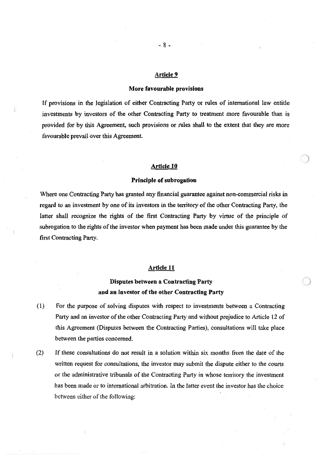#### More favourable provisions

If provisions in the legislation of either Contracting Party or rules of international law entitle investments by investors of the other Contracting Party to treatment more favourable than is provided for by this Agreement, such provisions or rules shall to the extent that they are more favourable prevail over this Agreement.

#### Article 10

#### Principle of subrogation

Where one Contracting Party has granted any financial guarantee against non-commercial risks in regard to an investment by one of its investors in the territory of the other Contracting Party, the latter shall recognize the rights of the first Contracting Party by virtue of the principle of subrogation to the rights of the investor when payment has been made under this guarantee by the first Contracting Party.

#### Article 11

## Disputes between a Contracting Party *)*  and an investor of the other Contracting Party

- (1) For the purpose of solving disputes with respect to investments between a Contracting Party and an investor of the other Contracting Party and without prejudice to Article 12 of this Agreement (Disputes between the Contracting Parties), consultations will take place between the parties concerned.
- (2) If these consultations do not result in a solution within six months from the date of the written request for consultations, the investor may submit the dispute either to the courts or the administrative tribunals of the Contracting Party in whose territory the investment has been made or to international arbitration. In the latter event the investor has the choice between either of the following: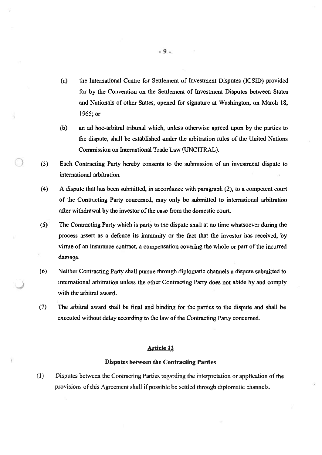- (a) the International Centre for Settlement of Investment Disputes (ICSID) provided for by the Convention on the Settlement of Investment Disputes between States and Nationals of other States, opened for signature at Washington, on March 18, 1965; or
- (b) an ad hoc-arbitral tribunal which, unless otherwise agreed upon by the parties to the dispute, shall be established under the arbitration rules of the United Nations Commission on International Trade Law (UNCITRAL).
- Each Contracting Party hereby consents to the submission of an investment dispute to international arbitration.  $(3)$
- (4) A dispute that has been submitted, in accordance with paragraph (2), to a competent court of the Contracting Party concerned, may only be submitted to international arbitration after withdrawal by the investor of the case from the domestic court.
- ( 5) ' The Contracting Party which is party to the dispute shall at no time whatsoever during the process assert as a defence its immunity or the fact that the investor has received, by virtue of an insurance contract, a compensation covering the whole or part of the incurred damage.
- international arbitration unless the other Contracting Party does not abide by and comply with the arbitral award. (6) Neither Contracting Party shall pursue through diplomatic channels a dispute submitted to

 $\overline{\phantom{0}}$ 

The arbitral award shall be final and binding for the parties to the dispute and shall be executed without delay according to the law of the Contracting Party concerned. (7)

## Article 12

#### Disputes between the Contracting Parties

(I) Disputes between the Contracting Parties regarding the interpretation or application of the provisions of this Agreement shall if possible be settled through diplomatic channels.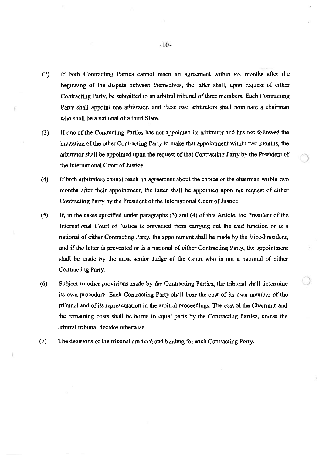- (2) If both Contracting Parties cannot reach an agreement within six months after the beginning of the dispute between themselves, the latter shall, upon request of either Contracting Party, be submitted to an arbitral tribunal of three members. Each Contracting Party shall appoint one arbitrator, and these two arbitrators shall nominate a chairman who shall be a national of a third State.
- (3) If one of the Contracting Parties has not appointed its arbitrator and has not followed the invitation of the other Contracting Party to make that appointment within two months, the arbitrator shall be appointed upon the request of that Contracting Party by the President of the International Court of Justice.
- ( 4) If both arbitrators cannot reach an agreement about the choice of the chairman within two months after their appointment, the latter shall be appointed upon the request of either Contracting Party by the President of the International Court of Justice.
- (5) If, in the cases specified under paragraphs (3) and (4) of this Article, the President of the International Court of Justice is prevented from carrying out the said function or is a national of either Contracting Party, the appointment shall be made by the Vice-President, and if the latter is prevented or is a national of either Contracting Party, the appointment shall be made by the most senior Judge of the Court who is not a national of either Contracting Party.
- ) Subject to other provisions made by the Contracting Parties, the tribunal shall determine its own procedure. Each Contracting Party shall bear the cost of its own member of the tribunal and of its representation in the arbitral proceedings. The cost of the Chairman and the remaining costs shall be borne in equal parts by the Contracting Parties, unless the arbitral tribunal decides otherwise. (6)
- (7) The decisions of the tribunal are final and binding for each Contracting Party.

 $-10-$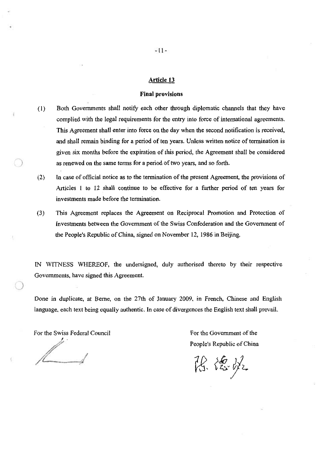#### Final provisions

- ( 1) Both Governments shall notify each other through diplomatic channels that they have complied with the legal requirements for the entry into force of international agreements. This Agreement shall enter into force on the day when the second notification is received, and shall remain binding for a period of ten years. Unless written notice of termination is given six months before the expiration of this period, the Agreement shall be considered as renewed on the same terms for a period of two years, and so forth.
- In case of official notice as to the termination of the present Agreement, the provisions of Articles 1 to 12 shall continue to be effective for a further period of ten years for investments made before the termination. (2)
- (3) This Agreement replaces the Agreement on Reciprocal Promotion and Protection of Investments between the Government of the Swiss Confederation and the Government of the People's Republic of China, signed on November 12, 1986 in Beijing.

IN WITNESS WHEREOF, the undersigned, duly authorised thereto by their respective Governments, have signed this Agreement.

Done in duplicate, at Berne, on the 27th of January 2009, in French, Chinese and English language. each text being equally authentic. In case of divergences the English text shall prevail.

For the Swiss Federal Council

*I* •' *.:* 

)

For the Government of the People's Republic of China

陈德永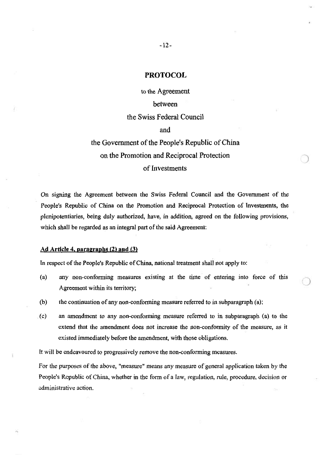## PROTOCOL

to the Agreement between

## the Swiss Federal Council

and

# the Government of the People's Republic of China on the Promotion and Reciprocal Protection of Investments

f

On signing the Agreement between the Swiss Federal Council and the Government of the People's Republic of China on the Promotion and Reciprocal Protection of Investments, the plenipotentiaries, being duly authorized, have, in addition, agreed on the following provisions, which shall be regarded as an integral part of the said Agreement:

## Ad Article 4, paragraphs (2) and (3)

In respect of the People's Republic of China, national treatment shall not apply to:

- *)* (a) any non-conforming measures existing at the time of entering into force of this Agreement within its territory;
- (b) the continuation of any non-conforming measure referred to in subparagraph (a);
- (c) an amendment to any non-conforming measure referred to in subparagraph (a) to the extend that the amendment does not increase the non-conformity of the measure, as it existed immediately before the amendment, with those obligations.

It will be endeavoured to progressively remove the non-conforming measures.

For the purposes of the above, "measure" means any measure of general application taken by the People's Republic of China, whether in the form of a law, regulation, rule, procedure, decision or administrative action.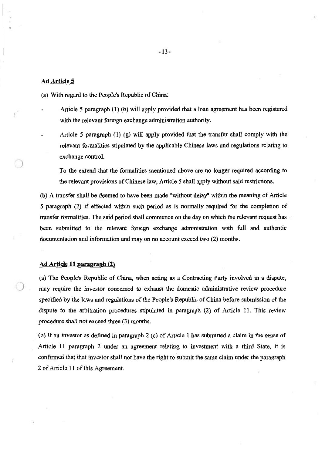#### Ad Article 5

(a) With regard to the People's Republic of China:

- Article *5* paragraph (1) (b) will apply provided that a loan agreement has been registered with the relevant foreign exchange administration authority.
- Article *5* paragraph ( 1) (g} will apply provided that the transfer shall comply with the relevant formalities stipulated by the applicable Chinese laws and regulations relating to exchange control.

To the extend that the formalities mentioned above are no longer required according to the relevant provisions of Chinese law, Article *5* shall apply without said restrictions.

(b) A transfer shall be deemed to have been made "without delay" within the meaning of Article *5* paragraph (2) if effected within such period as is normally required for the completion of transfer formalities. The said period shall commence on the day on which the relevant request has been submitted to the relevant foreign exchange administration with full and authentic documentation and information and may on no account exceed two (2) months.

#### Ad Article 11 paragraph (2)

(a) The People's Republic of China, when acting as a Contracting Party involved in a dispute, ) may require the investor concerned to exhaust the domestic administrative review procedure specified by the laws and regulations of the People's Republic of China before submission of the dispute to the arbitration procedures stipulated in paragraph (2) of Article 11. This review procedure shall not exceed three (3) months.

(b) If an investor as defined in paragraph 2 (c) of Article 1 has submitted a claim in the sense of Article 11 paragraph 2 under an agreement relating to investment with a third State, it is confirmed that that investor shall not have the right to submit the same claim under the paragraph 2 of Article 11 of this Agreement.